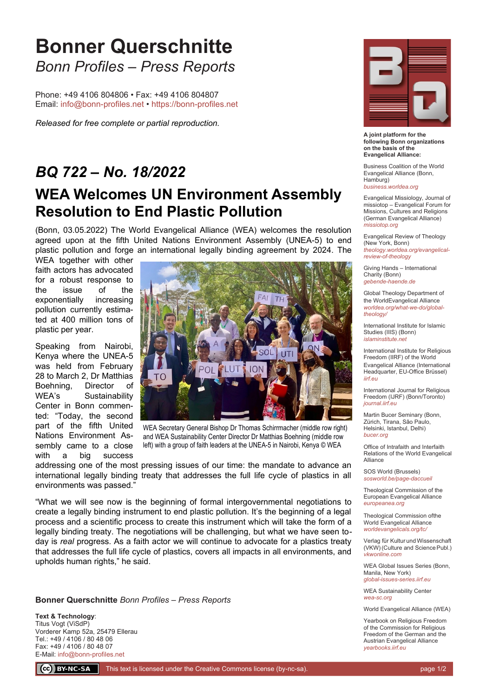## **Bonner Querschnitte** *Bonn Profiles – Press Reports*

Phone: +49 4106 804806 • Fax: +49 4106 804807 Email: [info@bonn-profiles.net •](mailto:info@bonn-profiles.net%20?subject=Frage%20zu%20Bonner%20Querschnitte) [https://bonn-profiles.net](https://bonn-profiles.net/)

*Released for free complete or partial reproduction.*

## *BQ 722 – No. 18/2022* **WEA Welcomes UN Environment Assembly Resolution to End Plastic Pollution**

(Bonn, 03.05.2022) The World Evangelical Alliance (WEA) welcomes the resolution agreed upon at the fifth United Nations Environment Assembly (UNEA-5) to end plastic pollution and forge an international legally binding agreement by 2024. The

WEA together with other faith actors has advocated for a robust response to the issue of the exponentially increasing pollution currently estimated at 400 million tons of plastic per year.

Speaking from Nairobi, Kenya where the UNEA-5 was held from February 28 to March 2, Dr Matthias Boehning, Director of WEA's Sustainability Center in Bonn commented: "Today, the second part of the fifth United Nations Environment Assembly came to a close with a big success



WEA Secretary General Bishop Dr Thomas Schirrmacher (middle row right) and WEA Sustainability Center Director Dr Matthias Boehning (middle row left) with a group of faith leaders at the UNEA-5 in Nairobi, Kenya © WEA

addressing one of the most pressing issues of our time: the mandate to advance an international legally binding treaty that addresses the full life cycle of plastics in all environments was passed."

"What we will see now is the beginning of formal intergovernmental negotiations to create a legally binding instrument to end plastic pollution. It's the beginning of a legal process and a scientific process to create this instrument which will take the form of a legally binding treaty. The negotiations will be challenging, but what we have seen today is *real* progress. As a faith actor we will continue to advocate for a plastics treaty that addresses the full life cycle of plastics, covers all impacts in all environments, and upholds human rights," he said.

**Bonner Querschnitte** *Bonn Profiles – Press Reports*

**Text & Technology**: Titus Vogt (ViSdP) Vorderer Kamp 52a, 25479 Ellerau Tel.: +49 / 4106 / 80 48 06 Fax: +49 / 4106 / 80 48 07 E-Mail: [info@bonn-profiles.net](mailto:info@bonn-profiles.net)



**A joint platform for the following Bonn organizations on the basis of the Evangelical Alliance:**

Business Coalition of the World Evangelical Alliance (Bonn, Hamburg) *[business.worldea.org](https://business.worldea.org/)*

Evangelical Missiology, Journal of missiotop – Evangelical Forum for Missions, Cultures and Religions (German Evangelical Alliance) *[missiotop.org](http://www.missiotop.org/)*

Evangelical Review of Theology (New York, Bonn) *[theology.worldea.org/evangelical](https://theology.worldea.org/evangelical-review-of-theology/)[review-of-theology](https://theology.worldea.org/evangelical-review-of-theology/)*

Giving Hands – International Charity (Bonn) *[gebende-haende.de](http://www.gebende-haende.de/)*

Global Theology Department of the WorldEvangelical Alliance *[worldea.org/what-we-do/global](https://worldea.org/what-we-do/global-theology/)[theology/](https://worldea.org/what-we-do/global-theology/)*

International Institute for Islamic Studies (IIIS) (Bonn) *[islaminstitute.net](http://www.islaminstitute.net/)*

International Institute for Religious Freedom (IIRF) of the World Evangelical Alliance (International Headquarter, EU-Office Brüssel) *[iirf.eu](http://www.iirf.eu/)*

International Journal for Religious Freedom (IJRF) (Bonn/Toronto) *[journal.iirf.eu](http://journal.iirf.eu/)*

Martin Bucer Seminary (Bonn, Zürich, Tirana, São Paulo, Helsinki, Istanbul, Delhi) *[bucer.org](http://www.bucer.org/)*

Office of Intrafaith and Interfaith Relations of the World Evangelical Alliance

SOS World (Brussels) *[sosworld.be/page-daccueil](http://www.sosworld.be/page-daccueil/)*

Theological Commission of the European Evangelical Alliance *[europeanea.org](http://www.europeanea.org/)*

Theological Commission ofthe World Evangelical Alliance *[worldevangelicals.org/tc/](http://www.worldevangelicals.org/tc/)*

Verlag für Kultur und Wissenschaft (VKW) (Culture and Science Publ.) *[vkwonline.com](http://www.vkwonline.com/)*

WEA Global Issues Series (Bonn, Manila, New York) *[global-issues-series.iirf.eu](https://iirf.eu/journal-books/global-issues-series/)*

WEA Sustainability Center *[wea-sc.org](http://www.wea-sc.org/)*

World Evangelical Alliance (WEA)

Yearbook on Religious Freedom of the Commission for Religious Freedom of the German and the Austrian Evangelical Alliance *[yearbooks.iirf.eu](http://yearbooks.iirf.eu/)*

CC BY-NC-SA